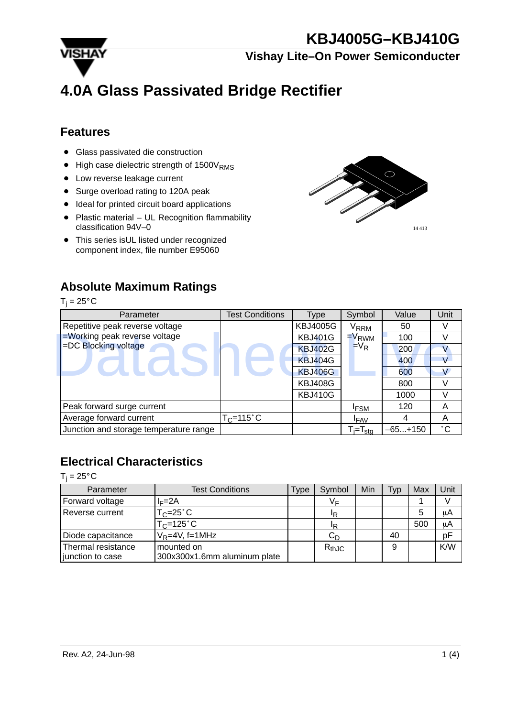14 413



**Vishay Lite–On Power Semiconducter**

# **4.0A Glass Passivated Bridge Rectifier**

### **Features**

- Glass passivated die construction
- $\bullet$ High case dielectric strength of  $1500V<sub>RMS</sub>$
- Low reverse leakage current
- Surge overload rating to 120A peak
- **Ideal for printed circuit board applications**
- Plastic material UL Recognition flammability classification 94V–0
- This series isUL listed under recognized component index, file number E95060

## **Absolute Maximum Ratings**

 $T_j = 25^{\circ}C$ 



## **Electrical Characteristics**

 $T_j = 25^\circ \text{C}$ 

| Parameter          | <b>Test Conditions</b>       | Type | Symbol     | Min | Typ | Max | Unit |
|--------------------|------------------------------|------|------------|-----|-----|-----|------|
| Forward voltage    | $I = 2A$                     |      | VЕ         |     |     |     |      |
| Reverse current    | $T_C = 25^\circ C$           |      | ΙR         |     |     |     | μA   |
|                    | $T_C = 125$ °C               |      | IR         |     |     | 500 | μA   |
| Diode capacitance  | $V_R = 4V$ , f=1MHz          |      | $C_D$      |     | 40  |     | pF   |
| Thermal resistance | mounted on                   |      | $R_{thJC}$ |     | 9   |     | K/W  |
| junction to case   | 300x300x1.6mm aluminum plate |      |            |     |     |     |      |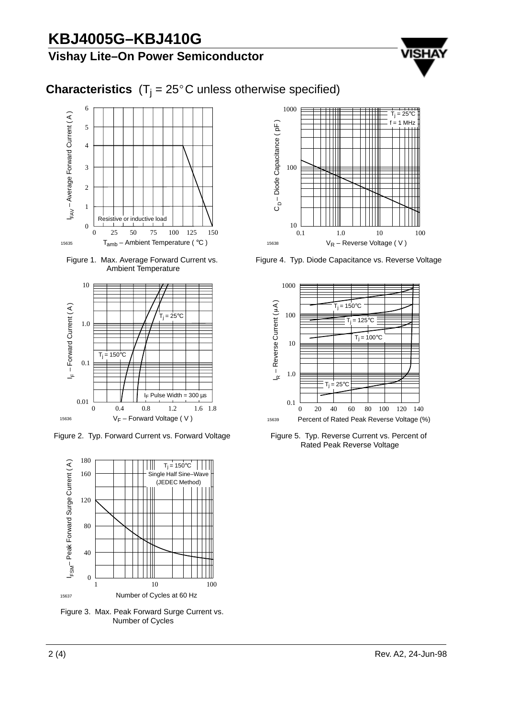## **Vishay Lite–On Power Semiconductor**



# **Characteristics**  $(T_j = 25^{\circ}C$  unless otherwise specified)



Figure 1. Max. Average Forward Current vs. Ambient Temperature



Figure 2. Typ. Forward Current vs. Forward Voltage



Figure 3. Max. Peak Forward Surge Current vs. Number of Cycles



Figure 4. Typ. Diode Capacitance vs. Reverse Voltage



Figure 5. Typ. Reverse Current vs. Percent of Rated Peak Reverse Voltage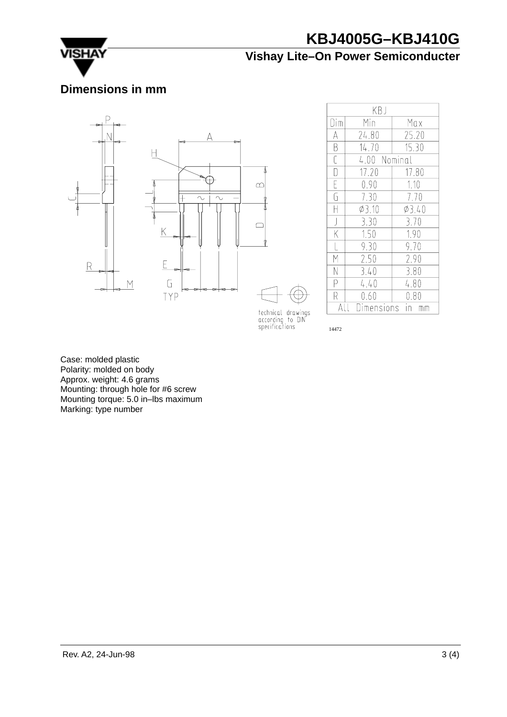

## **Vishay Lite–On Power Semiconducter**

## **Dimensions in mm**



| KB J               |             |              |  |  |  |
|--------------------|-------------|--------------|--|--|--|
| Dim                | Min         | Max          |  |  |  |
| А                  | 24.80       | 25.20        |  |  |  |
| B                  | 14.70       | 15.30        |  |  |  |
| Ċ                  |             | 4.00 Nominal |  |  |  |
| $\overline{\Box}$  | 17.20       | 17.80        |  |  |  |
| Ē                  | 0.90        | 1.10         |  |  |  |
| G                  | 7.30        | 7.70         |  |  |  |
| H                  | $\phi$ 3.10 | 03.40        |  |  |  |
| $\bigcup$          | 3.30        | 3.70         |  |  |  |
| $\overline{\sf K}$ | 1.50        | 1.90         |  |  |  |
|                    | 9.30        | 9.70         |  |  |  |
| M                  | 2.50        | 2.90         |  |  |  |
| N                  | 3.40        | 3.80         |  |  |  |
| P                  | 4.40        | 4.80         |  |  |  |
| R                  | 0.60        | 0.80         |  |  |  |
|                    | Dimensions  |              |  |  |  |

technical drawings<br>according to DIN<br>specifications

14472

Case: molded plastic Polarity: molded on body Approx. weight: 4.6 grams Mounting: through hole for #6 screw Mounting torque: 5.0 in–lbs maximum Marking: type number